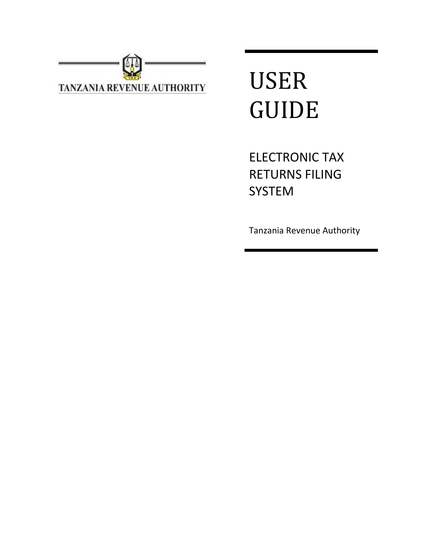

# USER GUIDE

ELECTRONIC TAX RETURNS FILING SYSTEM

Tanzania Revenue Authority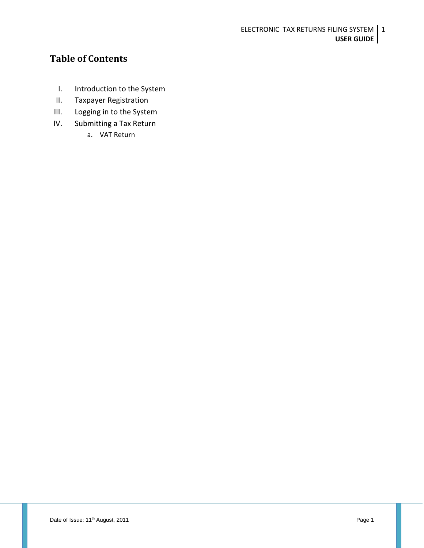ELECTRONIC TAX RETURNS FILING SYSTEM | 1 **USER GUIDE**

## **Table of Contents**

- I. Introduction to the System
- II. Taxpayer Registration
- III. Logging in to the System
- IV. Submitting a Tax Return
	- a. VAT Return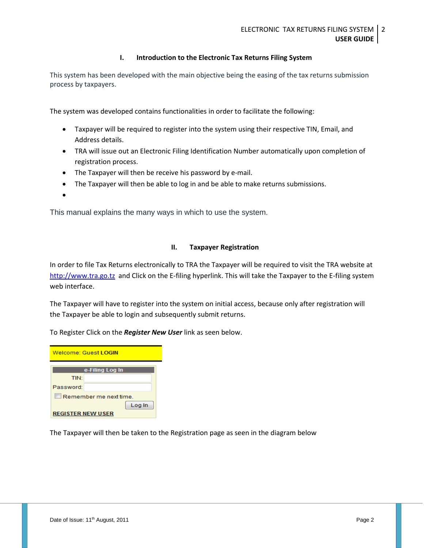## **I. Introduction to the Electronic Tax Returns Filing System**

This system has been developed with the main objective being the easing of the tax returns submission process by taxpayers.

The system was developed contains functionalities in order to facilitate the following:

- Taxpayer will be required to register into the system using their respective TIN, Email, and Address details.
- TRA will issue out an Electronic Filing Identification Number automatically upon completion of registration process.
- The Taxpayer will then be receive his password by e-mail.
- The Taxpayer will then be able to log in and be able to make returns submissions.

 $\bullet$ 

This manual explains the many ways in which to use the system.

### **II. Taxpayer Registration**

In order to file Tax Returns electronically to TRA the Taxpayer will be required to visit the TRA website at [http://www.tra.go.tz](http://www.tra.go.tz/) and Click on the E-filing hyperlink. This will take the Taxpayer to the E-filing system web interface.

The Taxpayer will have to register into the system on initial access, because only after registration will the Taxpayer be able to login and subsequently submit returns.

To Register Click on the *Register New User* link as seen below.

| Welcome: Guest LOGIN     |                 |  |  |
|--------------------------|-----------------|--|--|
|                          | e-Filing Log In |  |  |
| <b>TIN</b>               |                 |  |  |
| Password:                |                 |  |  |
| Remember me next time.   |                 |  |  |
| Log In                   |                 |  |  |
| <b>REGISTER NEW USER</b> |                 |  |  |

The Taxpayer will then be taken to the Registration page as seen in the diagram below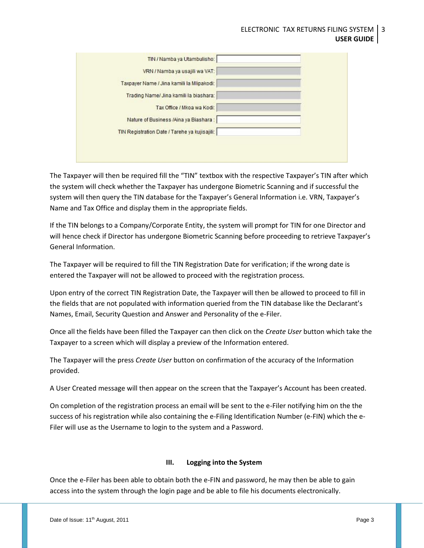#### ELECTRONIC TAX RETURNS FILING SYSTEM **USER GUIDE** 3

| TIN / Namba ya Utambulisho:                   |  |
|-----------------------------------------------|--|
| VRN / Namba ya usajili wa VAT:                |  |
| Taxpayer Name / Jina kamili la Mlipakodi:     |  |
| Trading Name/ Jina kamili la biashara:        |  |
| Tax Office / Mkoa wa Kodi:                    |  |
| Nature of Business /Aina ya Biashara :        |  |
| TIN Registration Date / Tarehe ya kujisajili: |  |
|                                               |  |
|                                               |  |

The Taxpayer will then be required fill the "TIN" textbox with the respective Taxpayer's TIN after which the system will check whether the Taxpayer has undergone Biometric Scanning and if successful the system will then query the TIN database for the Taxpayer's General Information i.e. VRN, Taxpayer's Name and Tax Office and display them in the appropriate fields.

If the TIN belongs to a Company/Corporate Entity, the system will prompt for TIN for one Director and will hence check if Director has undergone Biometric Scanning before proceeding to retrieve Taxpayer's General Information.

The Taxpayer will be required to fill the TIN Registration Date for verification; if the wrong date is entered the Taxpayer will not be allowed to proceed with the registration process.

Upon entry of the correct TIN Registration Date, the Taxpayer will then be allowed to proceed to fill in the fields that are not populated with information queried from the TIN database like the Declarant's Names, Email, Security Question and Answer and Personality of the e-Filer.

Once all the fields have been filled the Taxpayer can then click on the *Create User* button which take the Taxpayer to a screen which will display a preview of the Information entered.

The Taxpayer will the press *Create User* button on confirmation of the accuracy of the Information provided.

A User Created message will then appear on the screen that the Taxpayer's Account has been created.

On completion of the registration process an email will be sent to the e-Filer notifying him on the the success of his registration while also containing the e-Filing Identification Number (e-FIN) which the e-Filer will use as the Username to login to the system and a Password.

## **III. Logging into the System**

Once the e-Filer has been able to obtain both the e-FIN and password, he may then be able to gain access into the system through the login page and be able to file his documents electronically.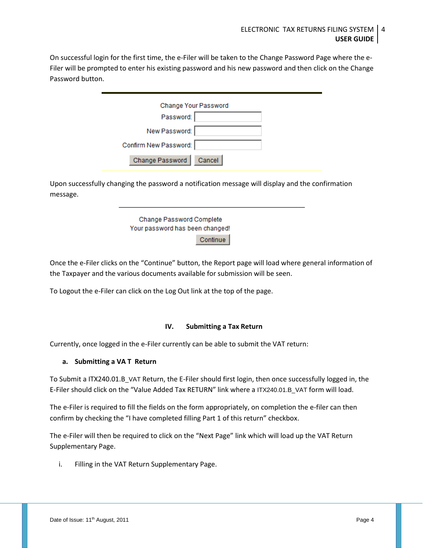On successful login for the first time, the e-Filer will be taken to the Change Password Page where the e-Filer will be prompted to enter his existing password and his new password and then click on the Change Password button.

| Change Your Password      |  |
|---------------------------|--|
| Password:                 |  |
| New Password:             |  |
| Confirm New Password:     |  |
| Change Password<br>Cancel |  |

Upon successfully changing the password a notification message will display and the confirmation message.

> Change Password Complete Your password has been changed! Continue

Once the e-Filer clicks on the "Continue" button, the Report page will load where general information of the Taxpayer and the various documents available for submission will be seen.

To Logout the e-Filer can click on the Log Out link at the top of the page.

## **IV. Submitting a Tax Return**

Currently, once logged in the e-Filer currently can be able to submit the VAT return:

## **a. Submitting a VA T Return**

To Submit a ITX240.01.B\_VAT Return, the E-Filer should first login, then once successfully logged in, the E-Filer should click on the "Value Added Tax RETURN" link where a ITX240.01.B\_VAT form will load.

The e-Filer is required to fill the fields on the form appropriately, on completion the e-filer can then confirm by checking the "I have completed filling Part 1 of this return" checkbox.

The e-Filer will then be required to click on the "Next Page" link which will load up the VAT Return Supplementary Page.

i. Filling in the VAT Return Supplementary Page.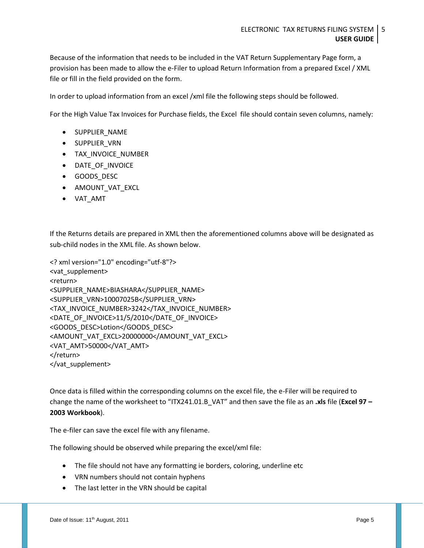Because of the information that needs to be included in the VAT Return Supplementary Page form, a provision has been made to allow the e-Filer to upload Return Information from a prepared Excel / XML file or fill in the field provided on the form.

In order to upload information from an excel /xml file the following steps should be followed.

For the High Value Tax Invoices for Purchase fields, the Excel file should contain seven columns, namely:

- **.** SUPPLIER\_NAME
- **•** SUPPLIER VRN
- TAX\_INVOICE\_NUMBER
- DATE OF INVOICE
- GOODS DESC
- AMOUNT\_VAT\_EXCL
- VAT\_AMT

If the Returns details are prepared in XML then the aforementioned columns above will be designated as sub-child nodes in the XML file. As shown below.

```
<? xml version="1.0" encoding="utf-8"?>
<vat_supplement>
<return>
<SUPPLIER_NAME>BIASHARA</SUPPLIER_NAME>
<SUPPLIER_VRN>10007025B</SUPPLIER_VRN>
<TAX_INVOICE_NUMBER>3242</TAX_INVOICE_NUMBER>
<DATE_OF_INVOICE>11/5/2010</DATE_OF_INVOICE>
<GOODS_DESC>Lotion</GOODS_DESC>
<AMOUNT_VAT_EXCL>20000000</AMOUNT_VAT_EXCL>
<VAT_AMT>50000</VAT_AMT>
</return>
</vat_supplement>
```
Once data is filled within the corresponding columns on the excel file, the e-Filer will be required to change the name of the worksheet to "ITX241.01.B\_VAT" and then save the file as an **.xls** file (**Excel 97 – 2003 Workbook**).

The e-filer can save the excel file with any filename.

The following should be observed while preparing the excel/xml file:

- The file should not have any formatting ie borders, coloring, underline etc
- VRN numbers should not contain hyphens
- The last letter in the VRN should be capital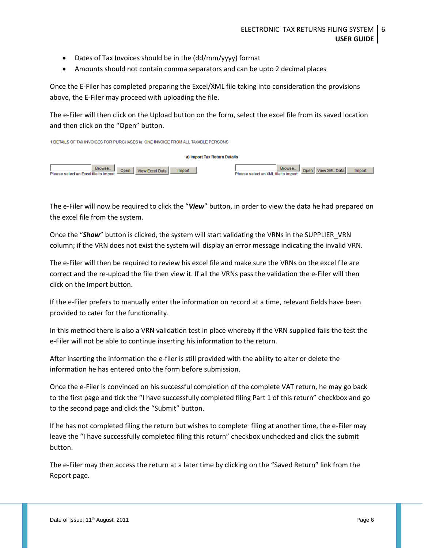- Dates of Tax Invoices should be in the (dd/mm/yyyy) format
- Amounts should not contain comma separators and can be upto 2 decimal places

Once the E-Filer has completed preparing the Excel/XML file taking into consideration the provisions above, the E-Filer may proceed with uploading the file.

The e-Filer will then click on the Upload button on the form, select the excel file from its saved location and then click on the "Open" button.

1. DETAILS OF TAX INVOICES FOR PURCHASES Ie. ONE INVOICE FROM ALL TAXABLE PERSONS





The e-Filer will now be required to click the "*View*" button, in order to view the data he had prepared on the excel file from the system.

Once the "*Show*" button is clicked, the system will start validating the VRNs in the SUPPLIER\_VRN column; if the VRN does not exist the system will display an error message indicating the invalid VRN.

The e-Filer will then be required to review his excel file and make sure the VRNs on the excel file are correct and the re-upload the file then view it. If all the VRNs pass the validation the e-Filer will then click on the Import button.

If the e-Filer prefers to manually enter the information on record at a time, relevant fields have been provided to cater for the functionality.

In this method there is also a VRN validation test in place whereby if the VRN supplied fails the test the e-Filer will not be able to continue inserting his information to the return.

After inserting the information the e-filer is still provided with the ability to alter or delete the information he has entered onto the form before submission.

Once the e-Filer is convinced on his successful completion of the complete VAT return, he may go back to the first page and tick the "I have successfully completed filing Part 1 of this return" checkbox and go to the second page and click the "Submit" button.

If he has not completed filing the return but wishes to complete filing at another time, the e-Filer may leave the "I have successfully completed filing this return" checkbox unchecked and click the submit button.

The e-Filer may then access the return at a later time by clicking on the "Saved Return" link from the Report page.